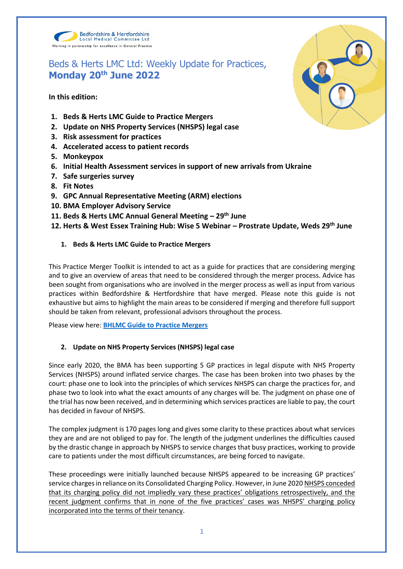

# Beds & Herts LMC Ltd: Weekly Update for Practices, **Monday 20th June 2022**

**In this edition:**

- **1. Beds & Herts LMC Guide to Practice Mergers**
- **2. Update on NHS Property Services (NHSPS) legal case**
- **3. Risk assessment for practices**
- **4. Accelerated access to patient records**
- **5. Monkeypox**
- **6. Initial Health Assessment services in support of new arrivals from Ukraine**
- **7. Safe surgeries survey**
- **8. Fit Notes**
- **9. GPC Annual Representative Meeting (ARM) elections**
- **10. BMA Employer Advisory Service**
- **11. Beds & Herts LMC Annual General Meeting – 29th June**
- **12. Herts & West Essex Training Hub: Wise 5 Webinar – Prostrate Update, Weds 29th June**
	- **1. Beds & Herts LMC Guide to Practice Mergers**

This Practice Merger Toolkit is intended to act as a guide for practices that are considering merging and to give an overview of areas that need to be considered through the merger process. Advice has been sought from organisations who are involved in the merger process as well as input from various practices within Bedfordshire & Hertfordshire that have merged. Please note this guide is not exhaustive but aims to highlight the main areas to be considered if merging and therefore full support should be taken from relevant, professional advisors throughout the process.

Please view here: **[BHLMC Guide to Practice Mergers](https://www.bedshertslmcs.org.uk/wp-content/uploads/2022/06/BHLMC-Guide-to-Practice-Mergers-June-2022.pdf)** 

# **2. Update on NHS Property Services (NHSPS) legal case**

Since early 2020, the BMA has been supporting 5 GP practices in legal dispute with NHS Property Services (NHSPS) around inflated service charges. The case has been broken into two phases by the court: phase one to look into the principles of which services NHSPS can charge the practices for, and phase two to look into what the exact amounts of any charges will be. The judgment on phase one of the trial has now been received, and in determining which services practices are liable to pay, the court has decided in favour of NHSPS.

The complex judgment is 170 pages long and gives some clarity to these practices about what services they are and are not obliged to pay for. The length of the judgment underlines the difficulties caused by the drastic change in approach by NHSPS to service charges that busy practices, working to provide care to patients under the most difficult circumstances, are being forced to navigate.

These proceedings were initially launched because NHSPS appeared to be increasing GP practices' service charges in reliance on its Consolidated Charging Policy. However, in June 2020 NHSPS conceded that its charging policy did not impliedly vary these practices' obligations retrospectively, and the recent judgment confirms that in none of the five practices' cases was NHSPS' charging policy incorporated into the terms of their tenancy.

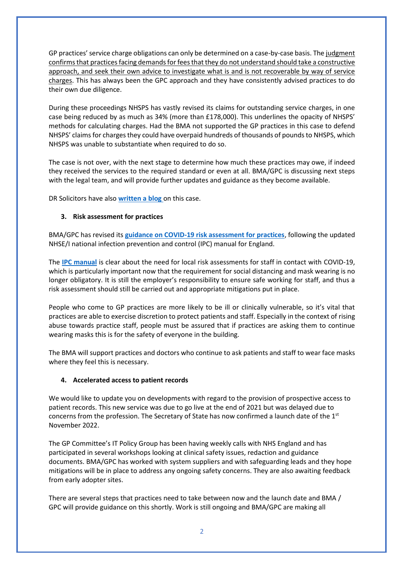GP practices' service charge obligations can only be determined on a case-by-case basis. The judgment confirms that practices facing demands for fees that they do not understand should take a constructive approach, and seek their own advice to investigate what is and is not recoverable by way of service charges. This has always been the GPC approach and they have consistently advised practices to do their own due diligence.

During these proceedings NHSPS has vastly revised its claims for outstanding service charges, in one case being reduced by as much as 34% (more than £178,000). This underlines the opacity of NHSPS' methods for calculating charges. Had the BMA not supported the GP practices in this case to defend NHSPS' claims for charges they could have overpaid hundreds of thousands of pounds to NHSPS, which NHSPS was unable to substantiate when required to do so.

The case is not over, with the next stage to determine how much these practices may owe, if indeed they received the services to the required standard or even at all. BMA/GPC is discussing next steps with the legal team, and will provide further updates and guidance as they become available.

DR Solicitors have also **[written a blog](https://www.drsolicitors.com/nhsps-service-charges-test-case-judgment-what-does-it-mean-gp-practices)** on this case.

## **3. Risk assessment for practices**

BMA/GPC has revised its **[guidance on COVID-19 risk assessment for practices](https://www.bma.org.uk/advice-and-support/covid-19/gp-practices/covid-19-toolkit-for-gps-and-gp-practices/risk-assessment-for-gp-practices-in-england)**, following the updated NHSE/I national infection prevention and control (IPC) manual for England.

The **[IPC manual](https://www.england.nhs.uk/publication/national-infection-prevention-and-control/)** is clear about the need for local risk assessments for staff in contact with COVID-19, which is particularly important now that the requirement for social distancing and mask wearing is no longer obligatory. It is still the employer's responsibility to ensure safe working for staff, and thus a risk assessment should still be carried out and appropriate mitigations put in place.

People who come to GP practices are more likely to be ill or clinically vulnerable, so it's vital that practices are able to exercise discretion to protect patients and staff. Especially in the context of rising abuse towards practice staff, people must be assured that if practices are asking them to continue wearing masks this is for the safety of everyone in the building.

The BMA will support practices and doctors who continue to ask patients and staff to wear face masks where they feel this is necessary.

#### **4. Accelerated access to patient records**

We would like to update you on developments with regard to the provision of prospective access to patient records. This new service was due to go live at the end of 2021 but was delayed due to concerns from the profession. The Secretary of State has now confirmed a launch date of the 1st November 2022.

The GP Committee's IT Policy Group has been having weekly calls with NHS England and has participated in several workshops looking at clinical safety issues, redaction and guidance documents. BMA/GPC has worked with system suppliers and with safeguarding leads and they hope mitigations will be in place to address any ongoing safety concerns. They are also awaiting feedback from early adopter sites.

There are several steps that practices need to take between now and the launch date and BMA / GPC will provide guidance on this shortly. Work is still ongoing and BMA/GPC are making all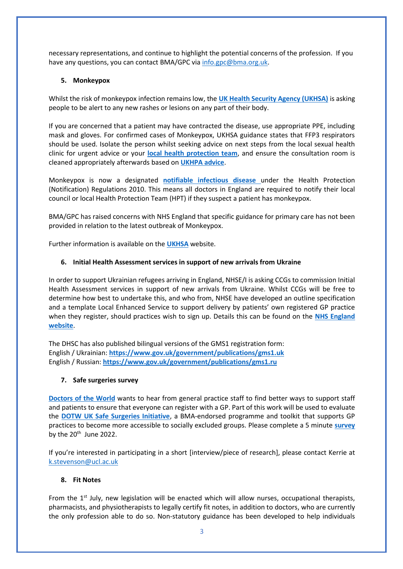necessary representations, and continue to highlight the potential concerns of the profession. If you have any questions, you can contact BMA/GPC vi[a info.gpc@bma.org.uk.](mailto:info.gpc@bma.org.uk)

## **5. Monkeypox**

Whilst the risk of monkeypox infection remains low, the **[UK Health Security Agency \(UKHSA\)](https://www.gov.uk/government/news/monkeypox-cases-confirmed-in-england-latest-updates)** is asking people to be alert to any new rashes or lesions on any part of their body.

If you are concerned that a patient may have contracted the disease, use appropriate PPE, including mask and gloves. For confirmed cases of Monkeypox, UKHSA guidance states that FFP3 respirators should be used. Isolate the person whilst seeking advice on next steps from the local sexual health clinic for urgent advice or your **[local health protection team](https://www.gov.uk/health-protection-team)**, and ensure the consultation room is cleaned appropriately afterwards based on **[UKHPA advice](https://assets.publishing.service.gov.uk/government/uploads/system/uploads/attachment_data/file/746086/Monkeypox_Guidance__cleaning_decontamination.pdf)**.

Monkeypox is now a designated **[notifiable infectious disease](https://www.gov.uk/guidance/notifiable-diseases-and-causative-organisms-how-to-report)** under the Health Protection (Notification) Regulations 2010. This means all doctors in England are required to notify their local council or local Health Protection Team (HPT) if they suspect a patient has monkeypox.

BMA/GPC has raised concerns with NHS England that specific guidance for primary care has not been provided in relation to the latest outbreak of Monkeypox.

Further information is available on the **[UKHSA](https://www.gov.uk/government/collections/monkeypox-guidance)** website.

## **6. Initial Health Assessment services in support of new arrivals from Ukraine**

In order to support Ukrainian refugees arriving in England, NHSE/I is asking CCGs to commission Initial Health Assessment services in support of new arrivals from Ukraine. Whilst CCGs will be free to determine how best to undertake this, and who from, NHSE have developed an outline specification and a template Local Enhanced Service to support delivery by patients' own registered GP practice when they register, should practices wish to sign up. Details this can be found on the **[NHS England](https://www.england.nhs.uk/wp-content/uploads/2022/06/B1604-meeting-the-initial-health-needs-of-people-arriving-in-the-uk-from-ukraine-140622.pdf)  [website](https://www.england.nhs.uk/wp-content/uploads/2022/06/B1604-meeting-the-initial-health-needs-of-people-arriving-in-the-uk-from-ukraine-140622.pdf)**.

The DHSC has also published bilingual versions of the GMS1 registration form: English / Ukrainian: **<https://www.gov.uk/government/publications/gms1.uk>** English / Russian: **<https://www.gov.uk/government/publications/gms1.ru>**

#### **7. Safe surgeries survey**

**[Doctors of the World](https://www.doctorsoftheworld.org.uk/)** wants to hear from general practice staff to find better ways to support staff and patients to ensure that everyone can register with a GP. Part of this work will be used to evaluate the **[DOTW UK Safe Surgeries Initiative](https://www.doctorsoftheworld.org.uk/safesurgeries/)**, a BMA-endorsed programme and toolkit that supports GP practices to become more accessible to socially excluded groups. Please complete a 5 minute **[survey](https://redcap.idhs.ucl.ac.uk/surveys/?s=XC7KAWMR3KNPAWPW)** by the  $20^{th}$  June 2022.

If you're interested in participating in a short [interview/piece of research], please contact Kerrie at [k.stevenson@ucl.ac.uk](mailto:k.stevenson@ucl.ac.uk)

# **8. Fit Notes**

From the 1<sup>st</sup> July, new legislation will be enacted which will allow nurses, occupational therapists, pharmacists, and physiotherapists to legally certify fit notes, in addition to doctors, who are currently the only profession able to do so. Non-statutory guidance has been developed to help individuals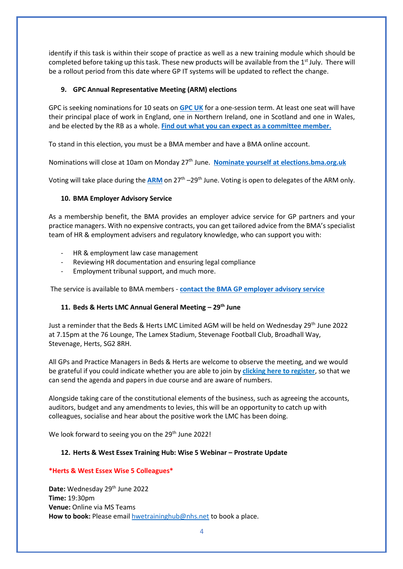identify if this task is within their scope of practice as well as a new training module which should be completed before taking up this task. These new products will be available from the 1<sup>st</sup> July. There will be a rollout period from this date where GP IT systems will be updated to reflect the change.

## **9. GPC Annual Representative Meeting (ARM) elections**

GPC is seeking nominations for 10 seats on **[GPC UK](https://www.bma.org.uk/what-we-do/committees/general-practitioners-committee/general-practitioners-committee-uk-overview)** for a one-session term. At least one seat will have their principal place of work in England, one in Northern Ireland, one in Scotland and one in Wales, and be elected by the RB as a whole. **[Find out what you can expect as a committee member.](https://www.bma.org.uk/what-we-do/committees/committee-information/taking-part-in-a-bma-committee)**

To stand in this election, you must be a BMA member and have a BMA online account.

Nominations will close at 10am on Monday 27<sup>th</sup> June. **[Nominate yourself at elections.bma.org.uk](https://authgateway.bma.org.uk/Account/Login?ReturnUrl=%2Fconnect%2Fauthorize%2Fcallback%3Fclient_id%3Delections.prod%26redirect_uri%3Dhttps%253A%252F%252Felections.bma.org.uk%252F%26response_mode%3Dform_post%26response_type%3Did_token%26scope%3Dopenid%2520electionsprofile%2520roles%26state%3DOpenIdConnect.AuthenticationProperties%253DuCOxRRA1UJy05uPJpTnM3hRk5b-DLUIbAO1c4z1qfP9H9o99Mmj-fKrgIuQhH44MOs-kug9Ni4bbzDM6cM54IiU_Veq1X3sTjqnc_0ETKA86CShD3-QCslvMBTOlW0RnXxMkKCbtKS6QHSCuycS-Thf2OJUxQAcM7UCE1gF7orUlTg2rdUZbePq2f42S58ZZbhxKRW9rsud78dl3Cbuc8A%26nonce%3D637874324317407416.YjM4OTJlZGUtYjY3MC00ZGI0LWE2ZmQtNGMxMTZkOTM5OGU0Y2U0M2Q5ZmMtNGZiZS00ZDFjLTljNzQtN2ZlZWY5ZWE5YTkz%26x-client-SKU%3DID_NET%26x-client-ver%3D1.0.40306.1554)** 

Voting will take place during the **[ARM](https://www.bma.org.uk/what-we-do/annual-representative-meeting)** on 27<sup>th</sup> –29<sup>th</sup> June. Voting is open to delegates of the ARM only.

## **10. BMA Employer Advisory Service**

As a membership benefit, the BMA provides an employer advice service for GP partners and your practice managers. With no expensive contracts, you can get tailored advice from the BMA's specialist team of HR & employment advisers and regulatory knowledge, who can support you with:

- HR & employment law case management
- Reviewing HR documentation and ensuring legal compliance
- Employment tribunal support, and much more.

The service is available to BMA members - **[contact the BMA GP employer advisory service](https://www.bma.org.uk/advice-and-support/gp-practices/bma-support-services-for-gp-practices/gp-employer-advisory-service?utm_source=GP+LMC+update&utm_medium=Email&utm_campaign=EAS+June+2022)**

# **11. Beds & Herts LMC Annual General Meeting – 29th June**

Just a reminder that the Beds & Herts LMC Limited AGM will be held on Wednesday 29<sup>th</sup> June 2022 at 7.15pm at the 76 Lounge, The Lamex Stadium, Stevenage Football Club, Broadhall Way, Stevenage, Herts, SG2 8RH.

All GPs and Practice Managers in Beds & Herts are welcome to observe the meeting, and we would be grateful if you could indicate whether you are able to join by **[clicking here to register](https://www.cognitoforms.com/BHLMC1/bedshertslmcagm2022registrationform)**, so that we can send the agenda and papers in due course and are aware of numbers.

Alongside taking care of the constitutional elements of the business, such as agreeing the accounts, auditors, budget and any amendments to levies, this will be an opportunity to catch up with colleagues, socialise and hear about the positive work the LMC has been doing.

We look forward to seeing you on the 29<sup>th</sup> June 2022!

#### **12. Herts & West Essex Training Hub: Wise 5 Webinar – Prostrate Update**

# **\*Herts & West Essex Wise 5 Colleagues\***

Date: Wednesday 29<sup>th</sup> June 2022 **Time:** 19:30pm **Venue:** Online via MS Teams How to book: Please email **hwetraininghub@nhs.net** to book a place.